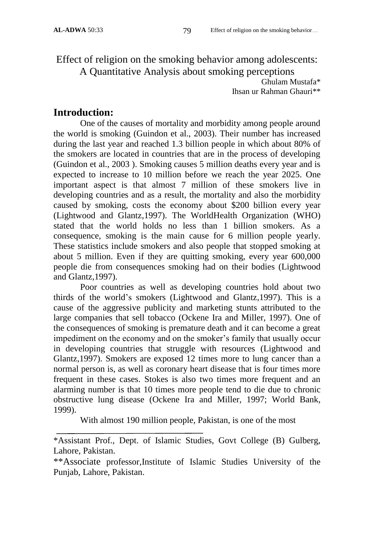Effect of religion on the smoking behavior among adolescents: A Quantitative Analysis about smoking perceptions

> Ghulam Mustafa\* Ihsan ur Rahman Ghauri\*\*

# **Introduction:**

One of the causes of mortality and morbidity among people around the world is smoking (Guindon et al., 2003). Their number has increased during the last year and reached 1.3 billion people in which about 80% of the smokers are located in countries that are in the process of developing (Guindon et al., 2003 ). Smoking causes 5 million deaths every year and is expected to increase to 10 million before we reach the year 2025. One important aspect is that almost 7 million of these smokers live in developing countries and as a result, the mortality and also the morbidity caused by smoking, costs the economy about \$200 billion every year (Lightwood and Glantz,1997). The WorldHealth Organization (WHO) stated that the world holds no less than 1 billion smokers. As a consequence, smoking is the main cause for 6 million people yearly. These statistics include smokers and also people that stopped smoking at about 5 million. Even if they are quitting smoking, every year 600,000 people die from consequences smoking had on their bodies (Lightwood and Glantz,1997).

Poor countries as well as developing countries hold about two thirds of the world's smokers (Lightwood and Glantz,1997). This is a cause of the aggressive publicity and marketing stunts attributed to the large companies that sell tobacco (Ockene Ira and Miller, 1997). One of the consequences of smoking is premature death and it can become a great impediment on the economy and on the smoker's family that usually occur in developing countries that struggle with resources (Lightwood and Glantz,1997). Smokers are exposed 12 times more to lung cancer than a normal person is, as well as coronary heart disease that is four times more frequent in these cases. Stokes is also two times more frequent and an alarming number is that 10 times more people tend to die due to chronic obstructive lung disease (Ockene Ira and Miller, 1997; World Bank, 1999).

With almost 190 million people, Pakistan, is one of the most

<sup>\*</sup>Assistant Prof., Dept. of Islamic Studies, Govt College (B) Gulberg, Lahore, Pakistan.

<sup>\*\*</sup>Associate professor,Institute of Islamic Studies University of the Punjab, Lahore, Pakistan.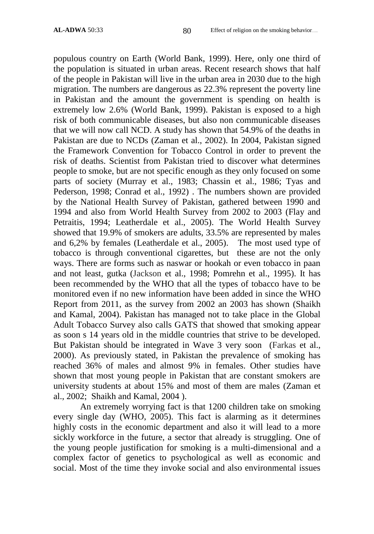populous country on Earth (World Bank, 1999). Here, only one third of the population is situated in urban areas. Recent research shows that half of the people in Pakistan will live in the urban area in 2030 due to the high migration. The numbers are dangerous as 22.3% represent the poverty line in Pakistan and the amount the government is spending on health is extremely low 2.6% (World Bank, 1999). Pakistan is exposed to a high risk of both communicable diseases, but also non communicable diseases that we will now call NCD. A study has shown that 54.9% of the deaths in Pakistan are due to NCDs (Zaman et al., 2002). In 2004, Pakistan signed the Framework Convention for Tobacco Control in order to prevent the risk of deaths. Scientist from Pakistan tried to discover what determines people to smoke, but are not specific enough as they only focused on some parts of society (Murray et al., 1983; Chassin et al., 1986; Tyas and Pederson, 1998; Conrad et al., 1992) . The numbers shown are provided by the National Health Survey of Pakistan, gathered between 1990 and 1994 and also from World Health Survey from 2002 to 2003 (Flay and Petraitis, 1994; Leatherdale et al., 2005). The World Health Survey showed that 19.9% of smokers are adults, 33.5% are represented by males and 6,2% by females (Leatherdale et al., 2005). The most used type of tobacco is through conventional cigarettes, but these are not the only ways. There are forms such as naswar or hookah or even tobacco in paan and not least, gutka (Jackson et al., 1998; Pomrehn et al., 1995). It has been recommended by the WHO that all the types of tobacco have to be monitored even if no new information have been added in since the WHO Report from 2011, as the survey from 2002 an 2003 has shown (Shaikh and Kamal, 2004). Pakistan has managed not to take place in the Global Adult Tobacco Survey also calls GATS that showed that smoking appear as soon s 14 years old in the middle countries that strive to be developed. But Pakistan should be integrated in Wave 3 very soon (Farkas et al., 2000). As previously stated, in Pakistan the prevalence of smoking has reached 36% of males and almost 9% in females. Other studies have shown that most young people in Pakistan that are constant smokers are university students at about 15% and most of them are males (Zaman et al., 2002; Shaikh and Kamal, 2004 ).

An extremely worrying fact is that 1200 children take on smoking every single day (WHO, 2005). This fact is alarming as it determines highly costs in the economic department and also it will lead to a more sickly workforce in the future, a sector that already is struggling. One of the young people justification for smoking is a multi-dimensional and a complex factor of genetics to psychological as well as economic and social. Most of the time they invoke social and also environmental issues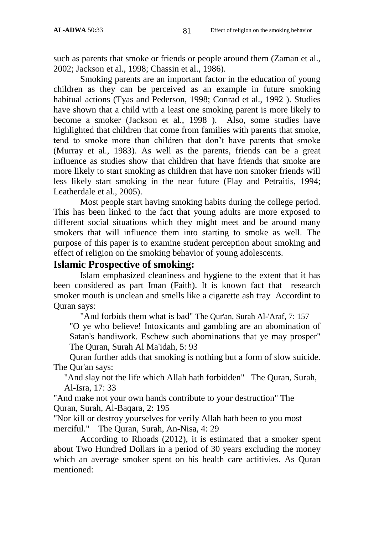such as parents that smoke or friends or people around them (Zaman et al., 2002; Jackson et al., 1998; Chassin et al., 1986).

Smoking parents are an important factor in the education of young children as they can be perceived as an example in future smoking habitual actions (Tyas and Pederson, 1998; Conrad et al., 1992 ). Studies have shown that a child with a least one smoking parent is more likely to become a smoker (Jackson et al., 1998 ). Also, some studies have highlighted that children that come from families with parents that smoke, tend to smoke more than children that don't have parents that smoke (Murray et al., 1983). As well as the parents, friends can be a great influence as studies show that children that have friends that smoke are more likely to start smoking as children that have non smoker friends will less likely start smoking in the near future (Flay and Petraitis, 1994; Leatherdale et al., 2005).

Most people start having smoking habits during the college period. This has been linked to the fact that young adults are more exposed to different social situations which they might meet and be around many smokers that will influence them into starting to smoke as well. The purpose of this paper is to examine student perception about smoking and effect of religion on the smoking behavior of young adolescents.

### **Islamic Prospective of smoking:**

Islam emphasized cleaniness and hygiene to the extent that it has been considered as part Iman (Faith). It is known fact that research smoker mouth is unclean and smells like a cigarette ash tray Accordint to Quran says:

"And forbids them what is bad" The Qur'an, Surah Al-'Araf, 7: 157

"O ye who believe! Intoxicants and gambling are an abomination of Satan's handiwork. Eschew such abominations that ye may prosper" The Quran, Surah Al Ma'idah, 5: 93

Quran further adds that smoking is nothing but a form of slow suicide. The Qur'an says:

"And slay not the life which Allah hath forbidden" The Quran, Surah, Al-Isra, 17: 33

"And make not your own hands contribute to your destruction" The Quran, Surah, Al-Baqara, 2: 195

"Nor kill or destroy yourselves for verily Allah hath been to you most merciful." The Quran, Surah, An-Nisa, 4: 29

According to Rhoads (2012), it is estimated that a smoker spent about Two Hundred Dollars in a period of 30 years excluding the money which an average smoker spent on his health care actitivies. As Quran mentioned: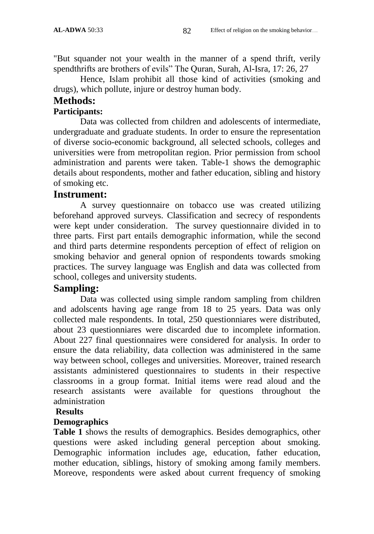"But squander not your wealth in the manner of a spend thrift, verily spendthrifts are brothers of evils" The Quran, Surah, Al-Isra, 17: 26, 27

Hence, Islam prohibit all those kind of activities (smoking and drugs), which pollute, injure or destroy human body.

#### **Methods:**

#### **Participants:**

Data was collected from children and adolescents of intermediate, undergraduate and graduate students. In order to ensure the representation of diverse socio-economic background, all selected schools, colleges and universities were from metropolitan region. Prior permission from school administration and parents were taken. Table-1 shows the demographic details about respondents, mother and father education, sibling and history of smoking etc.

## **Instrument:**

A survey questionnaire on tobacco use was created utilizing beforehand approved surveys. Classification and secrecy of respondents were kept under consideration. The survey questionnaire divided in to three parts. First part entails demographic information, while the second and third parts determine respondents perception of effect of religion on smoking behavior and general opnion of respondents towards smoking practices. The survey language was English and data was collected from school, colleges and university students.

## **Sampling:**

Data was collected using simple random sampling from children and adolscents having age range from 18 to 25 years. Data was only collected male respondents. In total, 250 questionniares were distributed, about 23 questionniares were discarded due to incomplete information. About 227 final questionnaires were considered for analysis. In order to ensure the data reliability, data collection was administered in the same way between school, colleges and universities. Moreover, trained research assistants administered questionnaires to students in their respective classrooms in a group format. Initial items were read aloud and the research assistants were available for questions throughout the administration

#### **Results**

#### **Demographics**

**Table 1** shows the results of demographics. Besides demographics, other questions were asked including general perception about smoking. Demographic information includes age, education, father education, mother education, siblings, history of smoking among family members. Moreove, respondents were asked about current frequency of smoking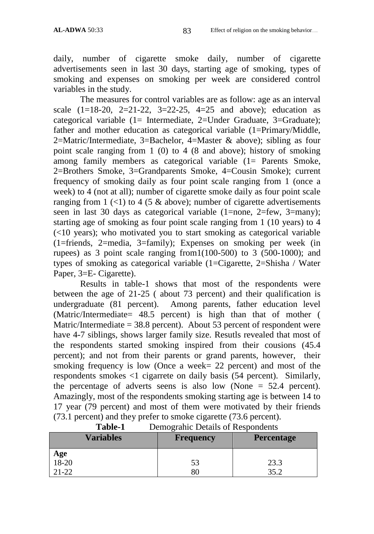daily, number of cigarette smoke daily, number of cigarette advertisements seen in last 30 days, starting age of smoking, types of smoking and expenses on smoking per week are considered control variables in the study.

The measures for control variables are as follow: age as an interval scale  $(1=18-20, 2=21-22, 3=22-25, 4=25 \text{ and above})$ ; education as categorical variable (1= Intermediate, 2=Under Graduate, 3=Graduate); father and mother education as categorical variable (1=Primary/Middle, 2=Matric/Intermediate, 3=Bachelor, 4=Master & above); sibling as four point scale ranging from 1 (0) to 4 (8 and above); history of smoking among family members as categorical variable (1= Parents Smoke, 2=Brothers Smoke, 3=Grandparents Smoke, 4=Cousin Smoke); current frequency of smoking daily as four point scale ranging from 1 (once a week) to 4 (not at all); number of cigarette smoke daily as four point scale ranging from  $1$  (<1) to 4 (5 & above); number of cigarette advertisements seen in last 30 days as categorical variable (1=none, 2=few, 3=many); starting age of smoking as four point scale ranging from 1 (10 years) to 4 (<10 years); who motivated you to start smoking as categorical variable (1=friends, 2=media, 3=family); Expenses on smoking per week (in rupees) as 3 point scale ranging from  $1(100-500)$  to 3 (500-1000); and types of smoking as categorical variable (1=Cigarette, 2=Shisha / Water Paper, 3=E- Cigarette).

Results in table-1 shows that most of the respondents were between the age of 21-25 ( about 73 percent) and their qualification is undergraduate (81 percent). Among parents, father education level (Matric/Intermediate= 48.5 percent) is high than that of mother ( Matric/Intermediate  $= 38.8$  percent). About 53 percent of respondent were have 4-7 siblings, shows larger family size. Resutls revealed that most of the respondents started smoking inspired from their cousions (45.4 percent); and not from their parents or grand parents, however, their smoking frequency is low (Once a week= 22 percent) and most of the respondents smokes <1 cigarrete on daily basis (54 percent). Similarly, the percentage of adverts seens is also low (None = 52.4 percent). Amazingly, most of the respondents smoking starting age is between 14 to 17 year (79 percent) and most of them were motivated by their friends (73.1 percent) and they prefer to smoke cigarette (73.6 percent).

| 1 avit-1                    | Demograme Details of Respondents |                   |  |
|-----------------------------|----------------------------------|-------------------|--|
| <b>Variables</b>            | <b>Frequency</b>                 | <b>Percentage</b> |  |
| Age<br>$18-20$<br>$21 - 22$ | 53<br>80                         | 23.3<br>25 J      |  |

| <b>Table-1</b> |  | Demograhic Details of Respondents |
|----------------|--|-----------------------------------|
|----------------|--|-----------------------------------|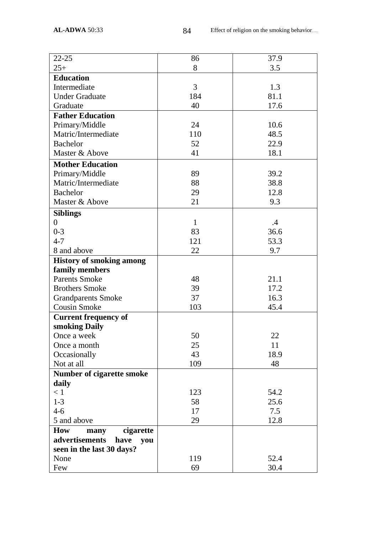| $22 - 25$                         | 86  | 37.9 |
|-----------------------------------|-----|------|
| $25+$                             | 8   | 3.5  |
| <b>Education</b>                  |     |      |
| Intermediate                      | 3   | 1.3  |
| <b>Under Graduate</b>             | 184 | 81.1 |
| Graduate                          | 40  | 17.6 |
| <b>Father Education</b>           |     |      |
| Primary/Middle                    | 24  | 10.6 |
| Matric/Intermediate               | 110 | 48.5 |
| <b>Bachelor</b>                   | 52  | 22.9 |
| Master & Above                    | 41  | 18.1 |
| <b>Mother Education</b>           |     |      |
| Primary/Middle                    | 89  | 39.2 |
| Matric/Intermediate               | 88  | 38.8 |
| <b>Bachelor</b>                   | 29  | 12.8 |
| Master & Above                    | 21  | 9.3  |
|                                   |     |      |
| <b>Siblings</b><br>$\overline{0}$ | 1   | .4   |
| $0 - 3$                           | 83  | 36.6 |
| $4 - 7$                           | 121 | 53.3 |
| 8 and above                       | 22  | 9.7  |
| <b>History of smoking among</b>   |     |      |
| family members                    |     |      |
| <b>Parents Smoke</b>              | 48  | 21.1 |
| <b>Brothers Smoke</b>             | 39  | 17.2 |
| <b>Grandparents Smoke</b>         | 37  | 16.3 |
| Cousin Smoke                      | 103 | 45.4 |
| <b>Current frequency of</b>       |     |      |
| smoking Daily                     |     |      |
| Once a week                       | 50  | 22   |
| Once a month                      | 25  | 11   |
| Occasionally                      | 43  | 18.9 |
| Not at all                        | 109 | 48   |
| Number of cigarette smoke         |     |      |
| daily                             |     |      |
| < 1                               | 123 | 54.2 |
| $1-3$                             | 58  | 25.6 |
| $4 - 6$                           | 17  | 7.5  |
| 5 and above                       | 29  | 12.8 |
| <b>How</b><br>cigarette<br>many   |     |      |
| advertisements<br>have<br>you     |     |      |
| seen in the last 30 days?         |     |      |
| None                              | 119 | 52.4 |
| Few                               | 69  | 30.4 |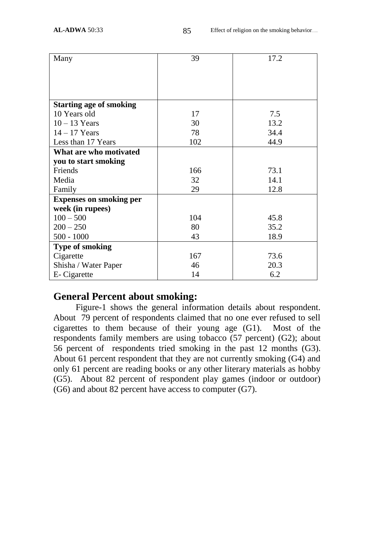| Many                           | 39  | 17.2 |
|--------------------------------|-----|------|
|                                |     |      |
|                                |     |      |
|                                |     |      |
| <b>Starting age of smoking</b> |     |      |
| 10 Years old                   | 17  | 7.5  |
| $10 - 13$ Years                | 30  | 13.2 |
| $14 - 17$ Years                | 78  | 34.4 |
| Less than 17 Years             | 102 | 44.9 |
| What are who motivated         |     |      |
| you to start smoking           |     |      |
| Friends                        | 166 | 73.1 |
| Media                          | 32  | 14.1 |
| Family                         | 29  | 12.8 |
| <b>Expenses on smoking per</b> |     |      |
| week (in rupees)               |     |      |
| $100 - 500$                    | 104 | 45.8 |
| $200 - 250$                    | 80  | 35.2 |
| $500 - 1000$                   | 43  | 18.9 |
| <b>Type of smoking</b>         |     |      |
| Cigarette                      | 167 | 73.6 |
| Shisha / Water Paper           | 46  | 20.3 |
| E- Cigarette                   | 14  | 6.2  |

### **General Percent about smoking:**

 Figure-1 shows the general information details about respondent. About 79 percent of respondents claimed that no one ever refused to sell cigarettes to them because of their young age (G1). Most of the respondents family members are using tobacco (57 percent) (G2); about 56 percent of respondents tried smoking in the past 12 months (G3). About 61 percent respondent that they are not currently smoking (G4) and only 61 percent are reading books or any other literary materials as hobby (G5). About 82 percent of respondent play games (indoor or outdoor) (G6) and about 82 percent have access to computer (G7).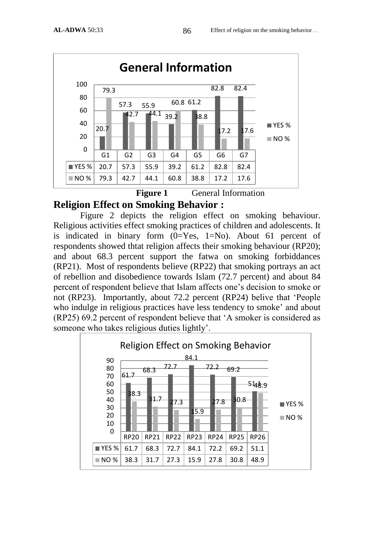

**Figure 1** General Information

# **Religion Effect on Smoking Behavior :**

Figure 2 depicts the religion effect on smoking behaviour. Religious activities effect smoking practices of children and adolescents. It is indicated in binary form  $(0=Yes, 1=No)$ . About 61 percent of respondents showed thtat religion affects their smoking behaviour (RP20); and about 68.3 percent support the fatwa on smoking forbiddances (RP21). Most of respondents believe (RP22) that smoking portrays an act of rebellion and disobedience towards Islam (72.7 percent) and about 84 percent of respondent believe that Islam affects one's decision to smoke or not (RP23). Importantly, about 72.2 percent (RP24) belive that 'People who indulge in religious practices have less tendency to smoke' and about (RP25) 69.2 percent of respondent believe that 'A smoker is considered as someone who takes religious duties lightly'.

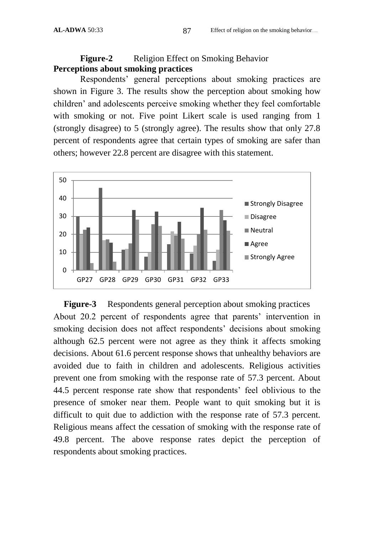#### **Figure-2** Religion Effect on Smoking Behavior **Perceptions about smoking practices**

Respondents' general perceptions about smoking practices are shown in Figure 3. The results show the perception about smoking how children' and adolescents perceive smoking whether they feel comfortable with smoking or not. Five point Likert scale is used ranging from 1 (strongly disagree) to 5 (strongly agree). The results show that only 27.8 percent of respondents agree that certain types of smoking are safer than others; however 22.8 percent are disagree with this statement.



**Figure-3** Respondents general perception about smoking practices About 20.2 percent of respondents agree that parents' intervention in smoking decision does not affect respondents' decisions about smoking although 62.5 percent were not agree as they think it affects smoking decisions. About 61.6 percent response shows that unhealthy behaviors are avoided due to faith in children and adolescents. Religious activities prevent one from smoking with the response rate of 57.3 percent. About 44.5 percent response rate show that respondents' feel oblivious to the presence of smoker near them. People want to quit smoking but it is difficult to quit due to addiction with the response rate of 57.3 percent. Religious means affect the cessation of smoking with the response rate of 49.8 percent. The above response rates depict the perception of respondents about smoking practices.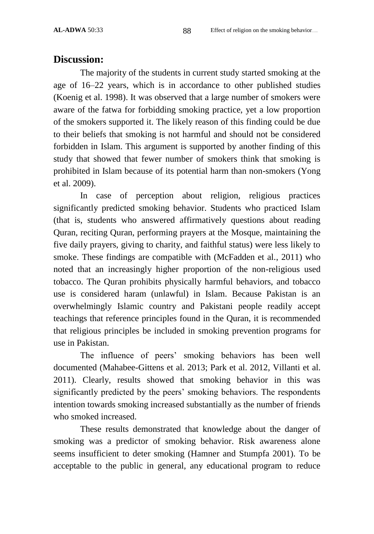#### **Discussion:**

The majority of the students in current study started smoking at the age of 16–22 years, which is in accordance to other published studies (Koenig et al. 1998). It was observed that a large number of smokers were aware of the fatwa for forbidding smoking practice, yet a low proportion of the smokers supported it. The likely reason of this finding could be due to their beliefs that smoking is not harmful and should not be considered forbidden in Islam. This argument is supported by another finding of this study that showed that fewer number of smokers think that smoking is prohibited in Islam because of its potential harm than non-smokers (Yong et al. 2009).

In case of perception about religion, religious practices significantly predicted smoking behavior. Students who practiced Islam (that is, students who answered affirmatively questions about reading Quran, reciting Quran, performing prayers at the Mosque, maintaining the five daily prayers, giving to charity, and faithful status) were less likely to smoke. These findings are compatible with (McFadden et al., 2011) who noted that an increasingly higher proportion of the non-religious used tobacco. The Quran prohibits physically harmful behaviors, and tobacco use is considered haram (unlawful) in Islam. Because Pakistan is an overwhelmingly Islamic country and Pakistani people readily accept teachings that reference principles found in the Quran, it is recommended that religious principles be included in smoking prevention programs for use in Pakistan.

The influence of peers' smoking behaviors has been well documented (Mahabee-Gittens et al. 2013; Park et al. 2012, Villanti et al. 2011). Clearly, results showed that smoking behavior in this was significantly predicted by the peers' smoking behaviors. The respondents intention towards smoking increased substantially as the number of friends who smoked increased.

These results demonstrated that knowledge about the danger of smoking was a predictor of smoking behavior. Risk awareness alone seems insufficient to deter smoking (Hamner and Stumpfa 2001). To be acceptable to the public in general, any educational program to reduce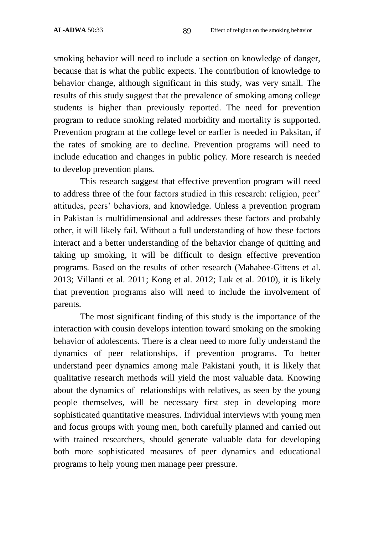smoking behavior will need to include a section on knowledge of danger, because that is what the public expects. The contribution of knowledge to behavior change, although significant in this study, was very small. The results of this study suggest that the prevalence of smoking among college students is higher than previously reported. The need for prevention program to reduce smoking related morbidity and mortality is supported. Prevention program at the college level or earlier is needed in Paksitan, if the rates of smoking are to decline. Prevention programs will need to include education and changes in public policy. More research is needed to develop prevention plans.

This research suggest that effective prevention program will need to address three of the four factors studied in this research: religion, peer' attitudes, peers' behaviors, and knowledge. Unless a prevention program in Pakistan is multidimensional and addresses these factors and probably other, it will likely fail. Without a full understanding of how these factors interact and a better understanding of the behavior change of quitting and taking up smoking, it will be difficult to design effective prevention programs. Based on the results of other research (Mahabee-Gittens et al. 2013; Villanti et al. 2011; Kong et al. 2012; Luk et al. 2010), it is likely that prevention programs also will need to include the involvement of parents.

The most significant finding of this study is the importance of the interaction with cousin develops intention toward smoking on the smoking behavior of adolescents. There is a clear need to more fully understand the dynamics of peer relationships, if prevention programs. To better understand peer dynamics among male Pakistani youth, it is likely that qualitative research methods will yield the most valuable data. Knowing about the dynamics of relationships with relatives, as seen by the young people themselves, will be necessary first step in developing more sophisticated quantitative measures. Individual interviews with young men and focus groups with young men, both carefully planned and carried out with trained researchers, should generate valuable data for developing both more sophisticated measures of peer dynamics and educational programs to help young men manage peer pressure.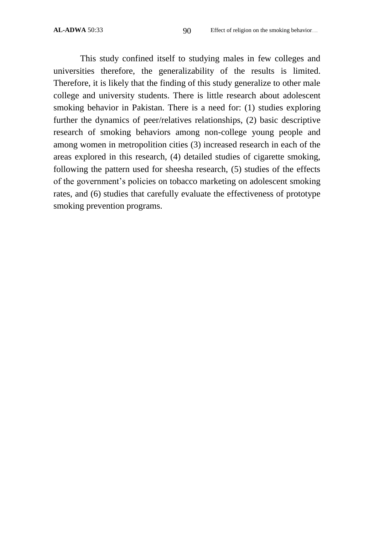This study confined itself to studying males in few colleges and universities therefore, the generalizability of the results is limited. Therefore, it is likely that the finding of this study generalize to other male college and university students. There is little research about adolescent smoking behavior in Pakistan. There is a need for: (1) studies exploring further the dynamics of peer/relatives relationships, (2) basic descriptive research of smoking behaviors among non-college young people and among women in metropolition cities (3) increased research in each of the areas explored in this research, (4) detailed studies of cigarette smoking, following the pattern used for sheesha research, (5) studies of the effects of the government's policies on tobacco marketing on adolescent smoking rates, and (6) studies that carefully evaluate the effectiveness of prototype smoking prevention programs.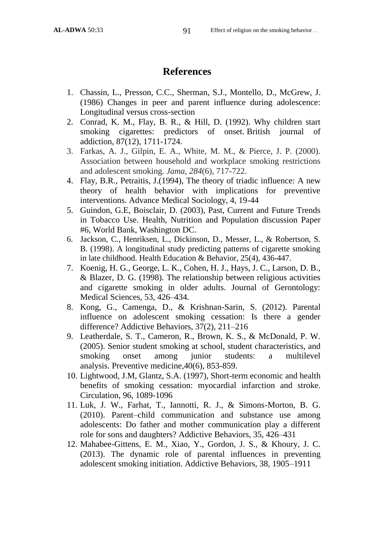## **References**

- 1. Chassin, L., Presson, C.C., Sherman, S.J., Montello, D., McGrew, J. (1986) Changes in peer and parent influence during adolescence: Longitudinal versus cross-section
- 2. Conrad, K. M., Flay, B. R., & Hill, D. (1992). Why children start smoking cigarettes: predictors of onset. British journal of addiction, 87(12), 1711-1724.
- 3. Farkas, A. J., Gilpin, E. A., White, M. M., & Pierce, J. P. (2000). Association between household and workplace smoking restrictions and adolescent smoking. *Jama*, *284*(6), 717-722.
- 4. Flay, B.R., Petraitis, J.(1994), The theory of triadic influence: A new theory of health behavior with implications for preventive interventions. Advance Medical Sociology, 4, 19-44
- 5. Guindon, G.E, Boisclair, D. (2003), Past, Current and Future Trends in Tobacco Use. Health, Nutrition and Population discussion Paper #6, World Bank, Washington DC.
- 6. Jackson, C., Henriksen, L., Dickinson, D., Messer, L., & Robertson, S. B. (1998). A longitudinal study predicting patterns of cigarette smoking in late childhood. Health Education & Behavior, 25(4), 436-447.
- 7. Koenig, H. G., George, L. K., Cohen, H. J., Hays, J. C., Larson, D. B., & Blazer, D. G. (1998). The relationship between religious activities and cigarette smoking in older adults. Journal of Gerontology: Medical Sciences, 53, 426–434.
- 8. Kong, G., Camenga, D., & Krishnan-Sarin, S. (2012). Parental influence on adolescent smoking cessation: Is there a gender difference? Addictive Behaviors, 37(2), 211–216
- 9. Leatherdale, S. T., Cameron, R., Brown, K. S., & McDonald, P. W. (2005). Senior student smoking at school, student characteristics, and smoking onset among junior students: a multilevel analysis. Preventive medicine,40(6), 853-859.
- 10. Lightwood, J.M, Glantz, S.A. (1997), Short-term economic and health benefits of smoking cessation: myocardial infarction and stroke. Circulation, 96, 1089-1096
- 11. Luk, J. W., Farhat, T., Iannotti, R. J., & Simons-Morton, B. G. (2010). Parent–child communication and substance use among adolescents: Do father and mother communication play a different role for sons and daughters? Addictive Behaviors, 35, 426–431
- 12. Mahabee-Gittens, E. M., Xiao, Y., Gordon, J. S., & Khoury, J. C. (2013). The dynamic role of parental influences in preventing adolescent smoking initiation. Addictive Behaviors, 38, 1905–1911